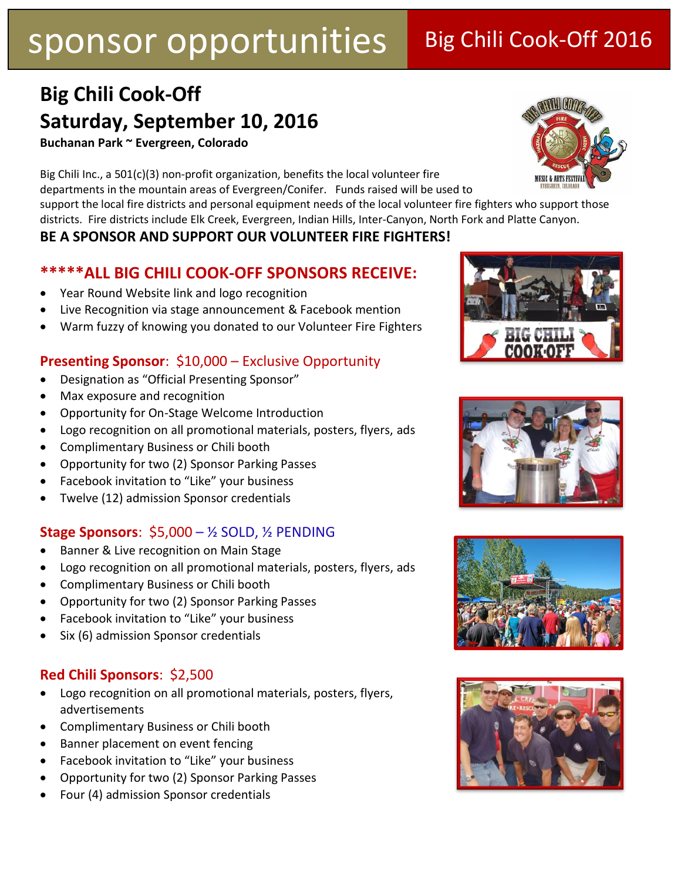## **Big Chili Cook-Off Saturday, September 10, 2016**

**Buchanan Park ~ Evergreen, Colorado**

Big Chili Inc., a 501(c)(3) non-profit organization, benefits the local volunteer fire departments in the mountain areas of Evergreen/Conifer. Funds raised will be used to

support the local fire districts and personal equipment needs of the local volunteer fire fighters who support those districts. Fire districts include Elk Creek, Evergreen, Indian Hills, Inter-Canyon, North Fork and Platte Canyon.

### **BE A SPONSOR AND SUPPORT OUR VOLUNTEER FIRE FIGHTERS!**

### **\*\*\*\*\*ALL BIG CHILI COOK-OFF SPONSORS RECEIVE:**

- Year Round Website link and logo recognition
- Live Recognition via stage announcement & Facebook mention
- Warm fuzzy of knowing you donated to our Volunteer Fire Fighters

### **Presenting Sponsor**: \$10,000 – Exclusive Opportunity

- Designation as "Official Presenting Sponsor"
- Max exposure and recognition
- Opportunity for On-Stage Welcome Introduction
- Logo recognition on all promotional materials, posters, flyers, ads
- Complimentary Business or Chili booth
- Opportunity for two (2) Sponsor Parking Passes
- Facebook invitation to "Like" your business
- Twelve (12) admission Sponsor credentials

### **Stage Sponsors**: \$5,000 – ½ SOLD, ½ PENDING

- Banner & Live recognition on Main Stage
- Logo recognition on all promotional materials, posters, flyers, ads
- Complimentary Business or Chili booth
- Opportunity for two (2) Sponsor Parking Passes
- Facebook invitation to "Like" your business
- Six (6) admission Sponsor credentials

### **Red Chili Sponsors**: \$2,500

- Logo recognition on all promotional materials, posters, flyers, advertisements
- Complimentary Business or Chili booth
- Banner placement on event fencing
- Facebook invitation to "Like" your business
- Opportunity for two (2) Sponsor Parking Passes
- Four (4) admission Sponsor credentials









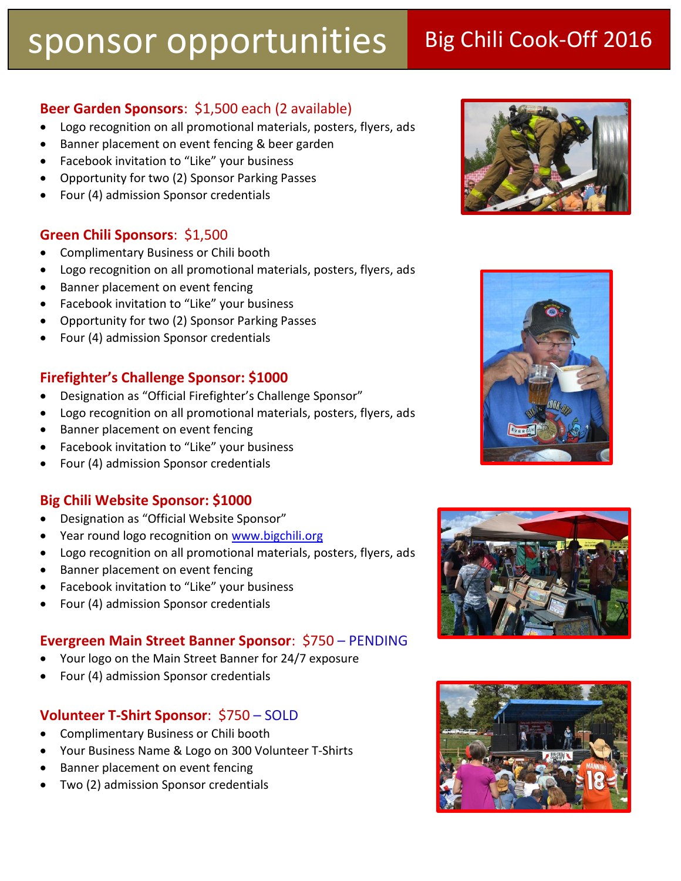### **Beer Garden Sponsors**: \$1,500 each (2 available)

- Logo recognition on all promotional materials, posters, flyers, ads
- Banner placement on event fencing & beer garden
- Facebook invitation to "Like" your business
- Opportunity for two (2) Sponsor Parking Passes
- Four (4) admission Sponsor credentials

### **Green Chili Sponsors**: \$1,500

- Complimentary Business or Chili booth
- Logo recognition on all promotional materials, posters, flyers, ads
- Banner placement on event fencing
- Facebook invitation to "Like" your business
- Opportunity for two (2) Sponsor Parking Passes
- Four (4) admission Sponsor credentials

### **Firefighter's Challenge Sponsor: \$1000**

- Designation as "Official Firefighter's Challenge Sponsor"
- Logo recognition on all promotional materials, posters, flyers, ads
- Banner placement on event fencing
- Facebook invitation to "Like" your business
- Four (4) admission Sponsor credentials

### **Big Chili Website Sponsor: \$1000**

- Designation as "Official Website Sponsor"
- Year round logo recognition on [www.bigchili.org](http://www.bigchili.org/)
- Logo recognition on all promotional materials, posters, flyers, ads
- Banner placement on event fencing
- Facebook invitation to "Like" your business
- Four (4) admission Sponsor credentials

### **Evergreen Main Street Banner Sponsor**: \$750 – PENDING

- Your logo on the Main Street Banner for 24/7 exposure
- Four (4) admission Sponsor credentials

### **Volunteer T-Shirt Sponsor**: \$750 – SOLD

- Complimentary Business or Chili booth
- Your Business Name & Logo on 300 Volunteer T-Shirts
- Banner placement on event fencing
- Two (2) admission Sponsor credentials







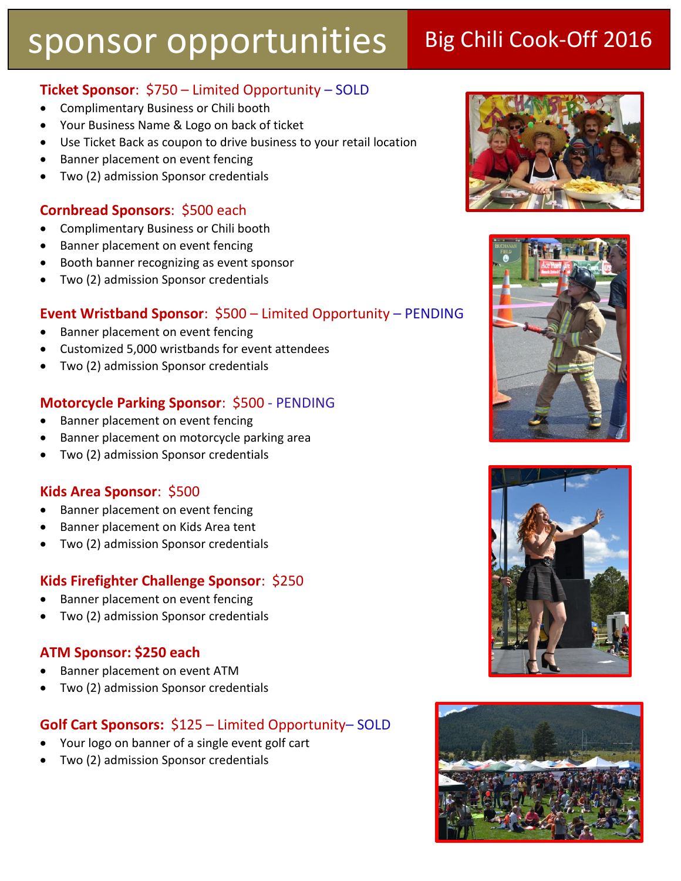### **Ticket Sponsor**: \$750 – Limited Opportunity – SOLD

- Complimentary Business or Chili booth
- Your Business Name & Logo on back of ticket
- Use Ticket Back as coupon to drive business to your retail location
- Banner placement on event fencing
- Two (2) admission Sponsor credentials

### **Cornbread Sponsors**: \$500 each

- Complimentary Business or Chili booth
- Banner placement on event fencing
- Booth banner recognizing as event sponsor
- Two (2) admission Sponsor credentials

### **Event Wristband Sponsor**: \$500 – Limited Opportunity – PENDING

- Banner placement on event fencing
- Customized 5,000 wristbands for event attendees
- Two (2) admission Sponsor credentials

### **Motorcycle Parking Sponsor**: \$500 - PENDING

- Banner placement on event fencing
- Banner placement on motorcycle parking area
- Two (2) admission Sponsor credentials

### **Kids Area Sponsor**: \$500

- Banner placement on event fencing
- Banner placement on Kids Area tent
- Two (2) admission Sponsor credentials

### **Kids Firefighter Challenge Sponsor**: \$250

- Banner placement on event fencing
- Two (2) admission Sponsor credentials

### **ATM Sponsor: \$250 each**

- Banner placement on event ATM
- Two (2) admission Sponsor credentials

### **Golf Cart Sponsors:** \$125 – Limited Opportunity– SOLD

- Your logo on banner of a single event golf cart
- Two (2) admission Sponsor credentials







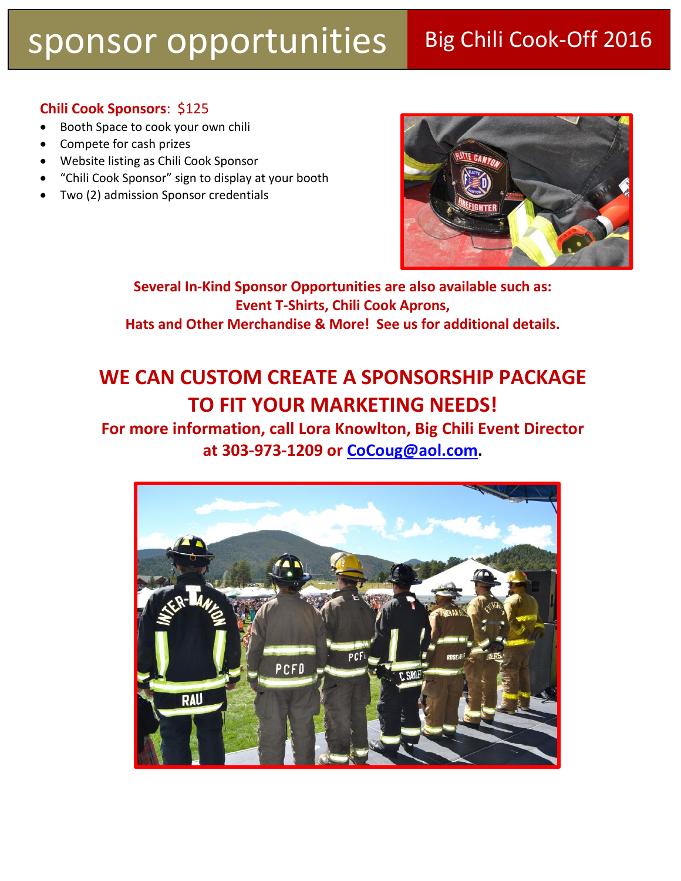### **Chili Cook Sponsors**: \$125

- Booth Space to cook your own chili
- Compete for cash prizes
- Website listing as Chili Cook Sponsor
- "Chili Cook Sponsor" sign to display at your booth
- Two (2) admission Sponsor credentials



**Several In-Kind Sponsor Opportunities are also available such as: Event T-Shirts, Chili Cook Aprons, Hats and Other Merchandise & More! See us for additional details.**

## **WE CAN CUSTOM CREATE A SPONSORSHIP PACKAGE TO FIT YOUR MARKETING NEEDS!**

**For more information, call Lora Knowlton, Big Chili Event Director at 303-973-1209 or [CoCoug@aol.com.](mailto:CoCoug@aol.com)**